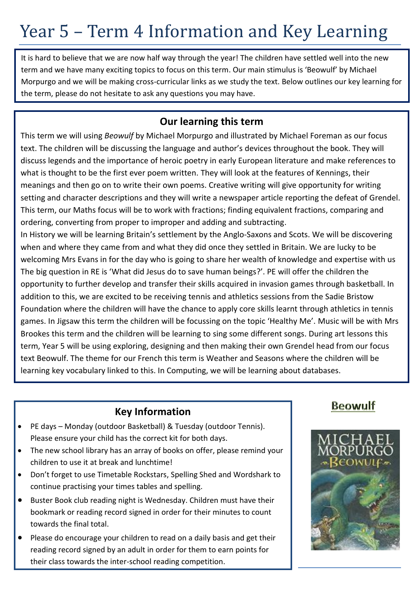# Year 5 – Term 4 Information and Key Learning

It is hard to believe that we are now half way through the year! The children have settled well into the new term and we have many exciting topics to focus on this term. Our main stimulus is 'Beowulf' by Michael Morpurgo and we will be making cross-curricular links as we study the text. Below outlines our key learning for the term, please do not hesitate to ask any questions you may have.

#### **Our learning this term**

This term we will using *Beowulf* by Michael Morpurgo and illustrated by Michael Foreman as our focus text. The children will be discussing the language and author's devices throughout the book. They will discuss legends and the importance of heroic poetry in early European literature and make references to what is thought to be the first ever poem written. They will look at the features of Kennings, their meanings and then go on to write their own poems. Creative writing will give opportunity for writing setting and character descriptions and they will write a newspaper article reporting the defeat of Grendel. This term, our Maths focus will be to work with fractions; finding equivalent fractions, comparing and ordering, converting from proper to improper and adding and subtracting.

In History we will be learning Britain's settlement by the Anglo-Saxons and Scots. We will be discovering when and where they came from and what they did once they settled in Britain. We are lucky to be welcoming Mrs Evans in for the day who is going to share her wealth of knowledge and expertise with us The big question in RE is 'What did Jesus do to save human beings?'. PE will offer the children the opportunity to further develop and transfer their skills acquired in invasion games through basketball. In addition to this, we are excited to be receiving tennis and athletics sessions from the Sadie Bristow Foundation where the children will have the chance to apply core skills learnt through athletics in tennis games. In Jigsaw this term the children will be focussing on the topic 'Healthy Me'. Music will be with Mrs Brookes this term and the children will be learning to sing some different songs. During art lessons this term, Year 5 will be using exploring, designing and then making their own Grendel head from our focus text Beowulf. The theme for our French this term is Weather and Seasons where the children will be learning key vocabulary linked to this. In Computing, we will be learning about databases.

### **Key Information**

- PE days Monday (outdoor Basketball) & Tuesday (outdoor Tennis). Please ensure your child has the correct kit for both days.
- The new school library has an array of books on offer, please remind your children to use it at break and lunchtime!
- Don't forget to use Timetable Rockstars, Spelling Shed and Wordshark to continue practising your times tables and spelling.
- Buster Book club reading night is Wednesday. Children must have their bookmark or reading record signed in order for their minutes to count towards the final total.
- Please do encourage your children to read on a daily basis and get their reading record signed by an adult in order for them to earn points for their class towards the inter-school reading competition.

### **Beowulf**